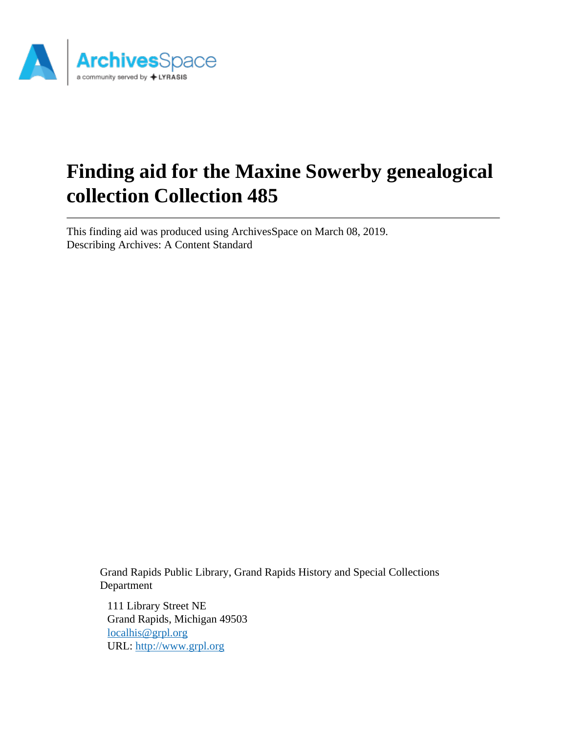

# **Finding aid for the Maxine Sowerby genealogical collection Collection 485**

This finding aid was produced using ArchivesSpace on March 08, 2019. Describing Archives: A Content Standard

> Grand Rapids Public Library, Grand Rapids History and Special Collections Department

111 Library Street NE Grand Rapids, Michigan 49503 [localhis@grpl.org](mailto:localhis@grpl.org) URL:<http://www.grpl.org>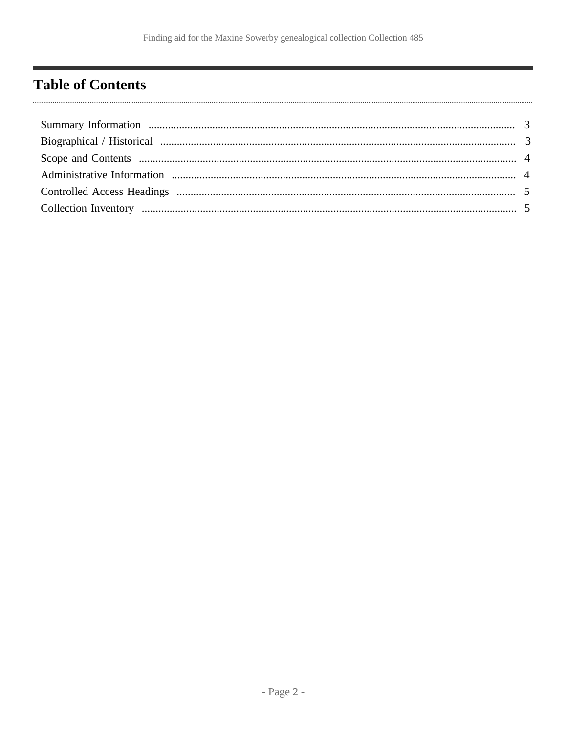# <span id="page-1-0"></span>**Table of Contents**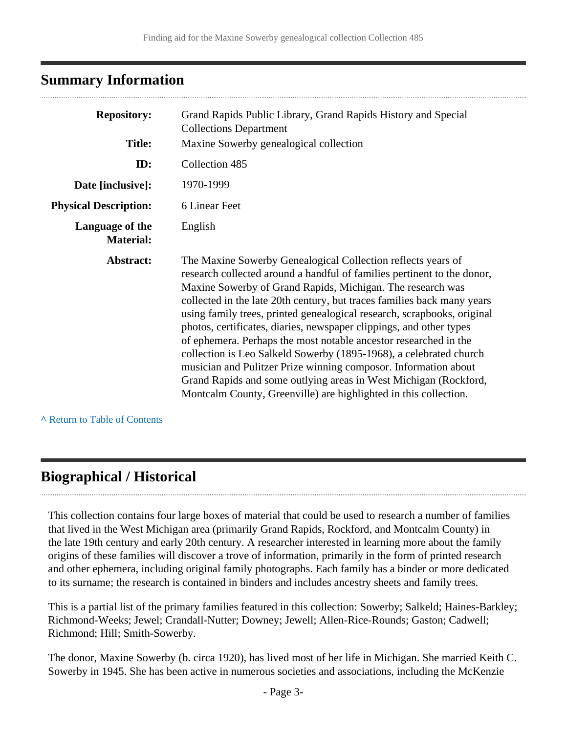## <span id="page-2-0"></span>**Summary Information**

| <b>Repository:</b>                  | Grand Rapids Public Library, Grand Rapids History and Special<br><b>Collections Department</b>                                                                                                                                                                                                                                                                                                                                                                                                                                                                                                                                                                                                                                                                                          |
|-------------------------------------|-----------------------------------------------------------------------------------------------------------------------------------------------------------------------------------------------------------------------------------------------------------------------------------------------------------------------------------------------------------------------------------------------------------------------------------------------------------------------------------------------------------------------------------------------------------------------------------------------------------------------------------------------------------------------------------------------------------------------------------------------------------------------------------------|
| <b>Title:</b>                       | Maxine Sowerby genealogical collection                                                                                                                                                                                                                                                                                                                                                                                                                                                                                                                                                                                                                                                                                                                                                  |
| ID:                                 | Collection 485                                                                                                                                                                                                                                                                                                                                                                                                                                                                                                                                                                                                                                                                                                                                                                          |
| Date [inclusive]:                   | 1970-1999                                                                                                                                                                                                                                                                                                                                                                                                                                                                                                                                                                                                                                                                                                                                                                               |
| <b>Physical Description:</b>        | 6 Linear Feet                                                                                                                                                                                                                                                                                                                                                                                                                                                                                                                                                                                                                                                                                                                                                                           |
| Language of the<br><b>Material:</b> | English                                                                                                                                                                                                                                                                                                                                                                                                                                                                                                                                                                                                                                                                                                                                                                                 |
| Abstract:                           | The Maxine Sowerby Genealogical Collection reflects years of<br>research collected around a handful of families pertinent to the donor,<br>Maxine Sowerby of Grand Rapids, Michigan. The research was<br>collected in the late 20th century, but traces families back many years<br>using family trees, printed genealogical research, scrapbooks, original<br>photos, certificates, diaries, newspaper clippings, and other types<br>of ephemera. Perhaps the most notable ancestor researched in the<br>collection is Leo Salkeld Sowerby (1895-1968), a celebrated church<br>musician and Pulitzer Prize winning composor. Information about<br>Grand Rapids and some outlying areas in West Michigan (Rockford,<br>Montcalm County, Greenville) are highlighted in this collection. |

**^** [Return to Table of Contents](#page-1-0)

# <span id="page-2-1"></span>**Biographical / Historical**

This collection contains four large boxes of material that could be used to research a number of families that lived in the West Michigan area (primarily Grand Rapids, Rockford, and Montcalm County) in the late 19th century and early 20th century. A researcher interested in learning more about the family origins of these families will discover a trove of information, primarily in the form of printed research and other ephemera, including original family photographs. Each family has a binder or more dedicated to its surname; the research is contained in binders and includes ancestry sheets and family trees.

This is a partial list of the primary families featured in this collection: Sowerby; Salkeld; Haines-Barkley; Richmond-Weeks; Jewel; Crandall-Nutter; Downey; Jewell; Allen-Rice-Rounds; Gaston; Cadwell; Richmond; Hill; Smith-Sowerby.

The donor, Maxine Sowerby (b. circa 1920), has lived most of her life in Michigan. She married Keith C. Sowerby in 1945. She has been active in numerous societies and associations, including the McKenzie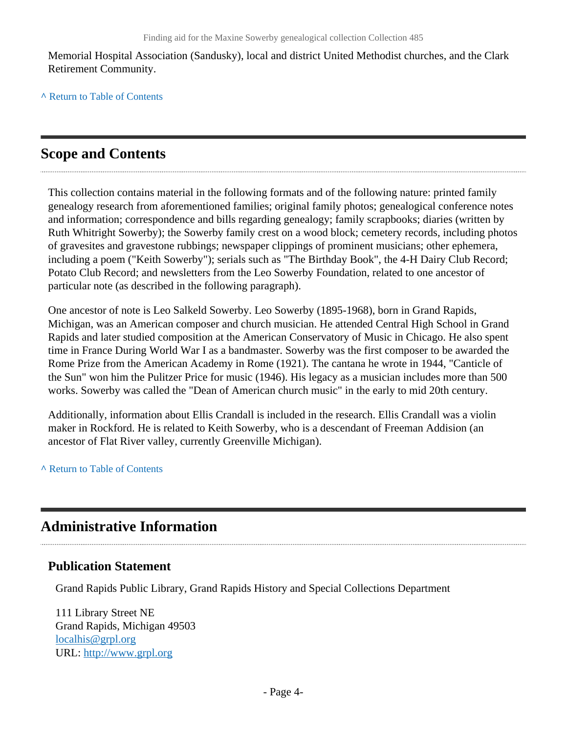Memorial Hospital Association (Sandusky), local and district United Methodist churches, and the Clark Retirement Community.

**^** [Return to Table of Contents](#page-1-0)

# <span id="page-3-0"></span>**Scope and Contents**

This collection contains material in the following formats and of the following nature: printed family genealogy research from aforementioned families; original family photos; genealogical conference notes and information; correspondence and bills regarding genealogy; family scrapbooks; diaries (written by Ruth Whitright Sowerby); the Sowerby family crest on a wood block; cemetery records, including photos of gravesites and gravestone rubbings; newspaper clippings of prominent musicians; other ephemera, including a poem ("Keith Sowerby"); serials such as "The Birthday Book", the 4-H Dairy Club Record; Potato Club Record; and newsletters from the Leo Sowerby Foundation, related to one ancestor of particular note (as described in the following paragraph).

One ancestor of note is Leo Salkeld Sowerby. Leo Sowerby (1895-1968), born in Grand Rapids, Michigan, was an American composer and church musician. He attended Central High School in Grand Rapids and later studied composition at the American Conservatory of Music in Chicago. He also spent time in France During World War I as a bandmaster. Sowerby was the first composer to be awarded the Rome Prize from the American Academy in Rome (1921). The cantana he wrote in 1944, "Canticle of the Sun" won him the Pulitzer Price for music (1946). His legacy as a musician includes more than 500 works. Sowerby was called the "Dean of American church music" in the early to mid 20th century.

Additionally, information about Ellis Crandall is included in the research. Ellis Crandall was a violin maker in Rockford. He is related to Keith Sowerby, who is a descendant of Freeman Addision (an ancestor of Flat River valley, currently Greenville Michigan).

**^** [Return to Table of Contents](#page-1-0)

# <span id="page-3-1"></span>**Administrative Information**

#### **Publication Statement**

Grand Rapids Public Library, Grand Rapids History and Special Collections Department

111 Library Street NE Grand Rapids, Michigan 49503 [localhis@grpl.org](mailto:localhis@grpl.org) URL:<http://www.grpl.org>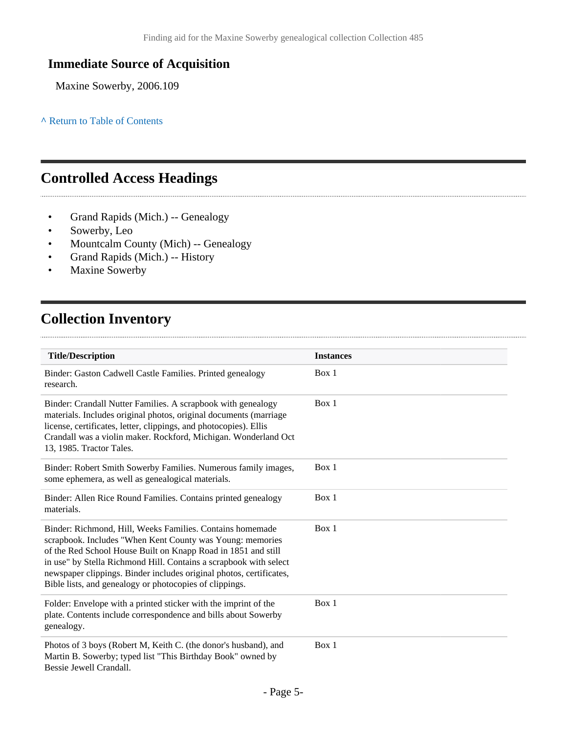### **Immediate Source of Acquisition**

Maxine Sowerby, 2006.109

**^** [Return to Table of Contents](#page-1-0)

## <span id="page-4-0"></span>**Controlled Access Headings**

- Grand Rapids (Mich.) -- Genealogy
- Sowerby, Leo

- Mountcalm County (Mich) -- Genealogy
- Grand Rapids (Mich.) -- History
- Maxine Sowerby

# <span id="page-4-1"></span>**Collection Inventory**

| <b>Title/Description</b>                                                                                                                                                                                                                                                                                                                                                                       | <b>Instances</b> |  |
|------------------------------------------------------------------------------------------------------------------------------------------------------------------------------------------------------------------------------------------------------------------------------------------------------------------------------------------------------------------------------------------------|------------------|--|
| Binder: Gaston Cadwell Castle Families. Printed genealogy<br>research.                                                                                                                                                                                                                                                                                                                         | Box 1            |  |
| Binder: Crandall Nutter Families. A scrapbook with genealogy<br>materials. Includes original photos, original documents (marriage<br>license, certificates, letter, clippings, and photocopies). Ellis<br>Crandall was a violin maker. Rockford, Michigan. Wonderland Oct<br>13, 1985. Tractor Tales.                                                                                          | Box 1            |  |
| Binder: Robert Smith Sowerby Families. Numerous family images,<br>some ephemera, as well as genealogical materials.                                                                                                                                                                                                                                                                            | Box 1            |  |
| Binder: Allen Rice Round Families. Contains printed genealogy<br>materials.                                                                                                                                                                                                                                                                                                                    | Box 1            |  |
| Binder: Richmond, Hill, Weeks Families. Contains homemade<br>scrapbook. Includes "When Kent County was Young: memories<br>of the Red School House Built on Knapp Road in 1851 and still<br>in use" by Stella Richmond Hill. Contains a scrapbook with select<br>newspaper clippings. Binder includes original photos, certificates,<br>Bible lists, and genealogy or photocopies of clippings. | Box 1            |  |
| Folder: Envelope with a printed sticker with the imprint of the<br>plate. Contents include correspondence and bills about Sowerby<br>genealogy.                                                                                                                                                                                                                                                | Box 1            |  |
| Photos of 3 boys (Robert M, Keith C. (the donor's husband), and<br>Martin B. Sowerby; typed list "This Birthday Book" owned by<br>Bessie Jewell Crandall.                                                                                                                                                                                                                                      | Box 1            |  |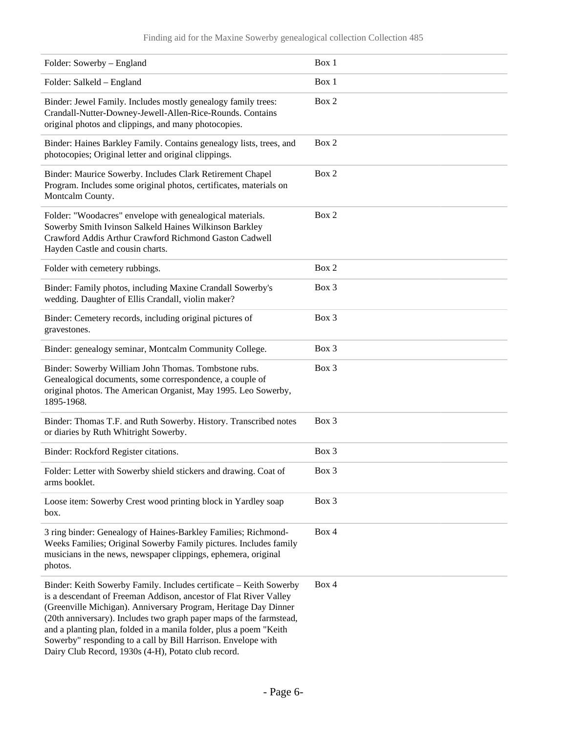#### Finding aid for the Maxine Sowerby genealogical collection Collection 485

| Folder: Sowerby - England                                                                                                                                                                                                                                                                                                                                                                                                                                                       | Box 1 |
|---------------------------------------------------------------------------------------------------------------------------------------------------------------------------------------------------------------------------------------------------------------------------------------------------------------------------------------------------------------------------------------------------------------------------------------------------------------------------------|-------|
| Folder: Salkeld - England                                                                                                                                                                                                                                                                                                                                                                                                                                                       | Box 1 |
| Binder: Jewel Family. Includes mostly genealogy family trees:<br>Crandall-Nutter-Downey-Jewell-Allen-Rice-Rounds. Contains<br>original photos and clippings, and many photocopies.                                                                                                                                                                                                                                                                                              | Box 2 |
| Binder: Haines Barkley Family. Contains genealogy lists, trees, and<br>photocopies; Original letter and original clippings.                                                                                                                                                                                                                                                                                                                                                     | Box 2 |
| Binder: Maurice Sowerby. Includes Clark Retirement Chapel<br>Program. Includes some original photos, certificates, materials on<br>Montcalm County.                                                                                                                                                                                                                                                                                                                             | Box 2 |
| Folder: "Woodacres" envelope with genealogical materials.<br>Sowerby Smith Ivinson Salkeld Haines Wilkinson Barkley<br>Crawford Addis Arthur Crawford Richmond Gaston Cadwell<br>Hayden Castle and cousin charts.                                                                                                                                                                                                                                                               | Box 2 |
| Folder with cemetery rubbings.                                                                                                                                                                                                                                                                                                                                                                                                                                                  | Box 2 |
| Binder: Family photos, including Maxine Crandall Sowerby's<br>wedding. Daughter of Ellis Crandall, violin maker?                                                                                                                                                                                                                                                                                                                                                                | Box 3 |
| Binder: Cemetery records, including original pictures of<br>gravestones.                                                                                                                                                                                                                                                                                                                                                                                                        | Box 3 |
| Binder: genealogy seminar, Montcalm Community College.                                                                                                                                                                                                                                                                                                                                                                                                                          | Box 3 |
| Binder: Sowerby William John Thomas. Tombstone rubs.<br>Genealogical documents, some correspondence, a couple of<br>original photos. The American Organist, May 1995. Leo Sowerby,<br>1895-1968.                                                                                                                                                                                                                                                                                | Box 3 |
| Binder: Thomas T.F. and Ruth Sowerby. History. Transcribed notes<br>or diaries by Ruth Whitright Sowerby.                                                                                                                                                                                                                                                                                                                                                                       | Box 3 |
| Binder: Rockford Register citations.                                                                                                                                                                                                                                                                                                                                                                                                                                            | Box 3 |
| Folder: Letter with Sowerby shield stickers and drawing. Coat of<br>arms booklet.                                                                                                                                                                                                                                                                                                                                                                                               | Box 3 |
| Loose item: Sowerby Crest wood printing block in Yardley soap<br>box.                                                                                                                                                                                                                                                                                                                                                                                                           | Box 3 |
| 3 ring binder: Genealogy of Haines-Barkley Families; Richmond-<br>Weeks Families; Original Sowerby Family pictures. Includes family<br>musicians in the news, newspaper clippings, ephemera, original<br>photos.                                                                                                                                                                                                                                                                | Box 4 |
| Binder: Keith Sowerby Family. Includes certificate - Keith Sowerby<br>is a descendant of Freeman Addison, ancestor of Flat River Valley<br>(Greenville Michigan). Anniversary Program, Heritage Day Dinner<br>(20th anniversary). Includes two graph paper maps of the farmstead,<br>and a planting plan, folded in a manila folder, plus a poem "Keith<br>Sowerby" responding to a call by Bill Harrison. Envelope with<br>Dairy Club Record, 1930s (4-H), Potato club record. | Box 4 |